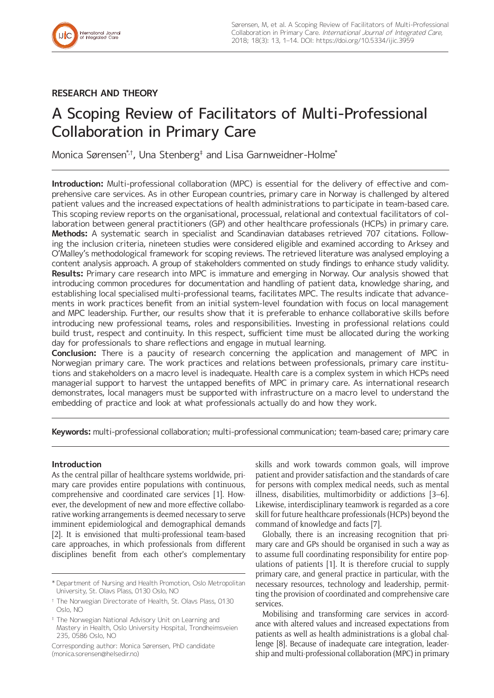## **RESEARCH AND THEORY**

# A Scoping Review of Facilitators of Multi-Professional Collaboration in Primary Care

Monica Sørensen\*†, Una Stenberg‡ and Lisa Garnweidner-Holme\*

**Introduction:** Multi-professional collaboration (MPC) is essential for the delivery of effective and comprehensive care services. As in other European countries, primary care in Norway is challenged by altered patient values and the increased expectations of health administrations to participate in team-based care. This scoping review reports on the organisational, processual, relational and contextual facilitators of collaboration between general practitioners (GP) and other healthcare professionals (HCPs) in primary care. **Methods:** A systematic search in specialist and Scandinavian databases retrieved 707 citations. Following the inclusion criteria, nineteen studies were considered eligible and examined according to Arksey and O'Malley's methodological framework for scoping reviews. The retrieved literature was analysed employing a content analysis approach. A group of stakeholders commented on study findings to enhance study validity. **Results:** Primary care research into MPC is immature and emerging in Norway. Our analysis showed that introducing common procedures for documentation and handling of patient data, knowledge sharing, and establishing local specialised multi-professional teams, facilitates MPC. The results indicate that advancements in work practices benefit from an initial system-level foundation with focus on local management and MPC leadership. Further, our results show that it is preferable to enhance collaborative skills before introducing new professional teams, roles and responsibilities. Investing in professional relations could build trust, respect and continuity. In this respect, sufficient time must be allocated during the working day for professionals to share reflections and engage in mutual learning.

**Conclusion:** There is a paucity of research concerning the application and management of MPC in Norwegian primary care. The work practices and relations between professionals, primary care institutions and stakeholders on a macro level is inadequate. Health care is a complex system in which HCPs need managerial support to harvest the untapped benefits of MPC in primary care. As international research demonstrates, local managers must be supported with infrastructure on a macro level to understand the embedding of practice and look at what professionals actually do and how they work.

**Keywords:** multi-professional collaboration; multi-professional communication; team-based care; primary care

## **Introduction**

As the central pillar of healthcare systems worldwide, primary care provides entire populations with continuous, comprehensive and coordinated care services [1]. However, the development of new and more effective collaborative working arrangements is deemed necessary to serve imminent epidemiological and demographical demands [2]. It is envisioned that multi-professional team-based care approaches, in which professionals from different disciplines benefit from each other's complementary skills and work towards common goals, will improve patient and provider satisfaction and the standards of care for persons with complex medical needs, such as mental illness, disabilities, multimorbidity or addictions [3–6]. Likewise, interdisciplinary teamwork is regarded as a core skill for future healthcare professionals (HCPs) beyond the command of knowledge and facts [7].

Globally, there is an increasing recognition that primary care and GPs should be organised in such a way as to assume full coordinating responsibility for entire populations of patients [1]. It is therefore crucial to supply primary care, and general practice in particular, with the necessary resources, technology and leadership, permitting the provision of coordinated and comprehensive care services.

Mobilising and transforming care services in accordance with altered values and increased expectations from patients as well as health administrations is a global challenge [8]. Because of inadequate care integration, leadership and multi-professional collaboration (MPC) in primary

<sup>\*</sup> Department of Nursing and Health Promotion, Oslo Metropolitan University, St. Olavs Plass, 0130 Oslo, NO

<sup>†</sup> The Norwegian Directorate of Health, St. Olavs Plass, 0130 Oslo, NO

<sup>‡</sup> The Norwegian National Advisory Unit on Learning and Mastery in Health, Oslo University Hospital, Trondheimsveien 235, 0586 Oslo, NO

Corresponding author: Monica Sørensen, PhD candidate [\(monica.sorensen@helsedir.no](mailto:monica.sorensen@helsedir.no))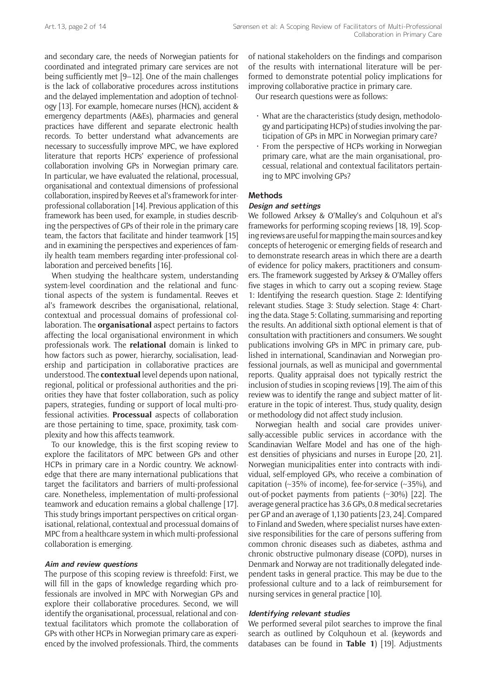and secondary care, the needs of Norwegian patients for coordinated and integrated primary care services are not being sufficiently met [9–12]. One of the main challenges is the lack of collaborative procedures across institutions and the delayed implementation and adoption of technology [13]. For example, homecare nurses (HCN), accident & emergency departments (A&Es), pharmacies and general practices have different and separate electronic health records. To better understand what advancements are necessary to successfully improve MPC, we have explored literature that reports HCPs' experience of professional collaboration involving GPs in Norwegian primary care. In particular, we have evaluated the relational, processual, organisational and contextual dimensions of professional collaboration, inspired by Reeves et al's framework for interprofessional collaboration [14]. Previous application of this framework has been used, for example, in studies describing the perspectives of GPs of their role in the primary care team, the factors that facilitate and hinder teamwork [15] and in examining the perspectives and experiences of family health team members regarding inter-professional collaboration and perceived benefits [16].

When studying the healthcare system, understanding system-level coordination and the relational and functional aspects of the system is fundamental. Reeves et al's framework describes the organisational, relational, contextual and processual domains of professional collaboration. The **organisational** aspect pertains to factors affecting the local organisational environment in which professionals work. The **relational** domain is linked to how factors such as power, hierarchy, socialisation, leadership and participation in collaborative practices are understood. The **contextual** level depends upon national, regional, political or professional authorities and the priorities they have that foster collaboration, such as policy papers, strategies, funding or support of local multi-professional activities. **Processual** aspects of collaboration are those pertaining to time, space, proximity, task complexity and how this affects teamwork.

To our knowledge, this is the first scoping review to explore the facilitators of MPC between GPs and other HCPs in primary care in a Nordic country. We acknowledge that there are many international publications that target the facilitators and barriers of multi-professional care. Nonetheless, implementation of multi-professional teamwork and education remains a global challenge [17]. This study brings important perspectives on critical organisational, relational, contextual and processual domains of MPC from a healthcare system in which multi-professional collaboration is emerging.

## **Aim and review questions**

The purpose of this scoping review is threefold: First, we will fill in the gaps of knowledge regarding which professionals are involved in MPC with Norwegian GPs and explore their collaborative procedures. Second, we will identify the organisational, processual, relational and contextual facilitators which promote the collaboration of GPs with other HCPs in Norwegian primary care as experienced by the involved professionals. Third, the comments

of national stakeholders on the findings and comparison of the results with international literature will be performed to demonstrate potential policy implications for improving collaborative practice in primary care.

Our research questions were as follows:

- What are the characteristics (study design, methodology and participating HCPs) of studies involving the participation of GPs in MPC in Norwegian primary care?
- From the perspective of HCPs working in Norwegian primary care, what are the main organisational, processual, relational and contextual facilitators pertaining to MPC involving GPs?

## **Methods**

#### **Design and settings**

We followed Arksey & O'Malley's and Colquhoun et al's frameworks for performing scoping reviews [18, 19]. Scoping reviews are useful for mapping the main sources and key concepts of heterogenic or emerging fields of research and to demonstrate research areas in which there are a dearth of evidence for policy makers, practitioners and consumers. The framework suggested by Arksey & O'Malley offers five stages in which to carry out a scoping review. Stage 1: Identifying the research question. Stage 2: Identifying relevant studies. Stage 3: Study selection. Stage 4: Charting the data. Stage 5: Collating, summarising and reporting the results. An additional sixth optional element is that of consultation with practitioners and consumers. We sought publications involving GPs in MPC in primary care, published in international, Scandinavian and Norwegian professional journals, as well as municipal and governmental reports. Quality appraisal does not typically restrict the inclusion of studies in scoping reviews [19]. The aim of this review was to identify the range and subject matter of literature in the topic of interest. Thus, study quality, design or methodology did not affect study inclusion.

Norwegian health and social care provides universally-accessible public services in accordance with the Scandinavian Welfare Model and has one of the highest densities of physicians and nurses in Europe [20, 21]. Norwegian municipalities enter into contracts with individual, self-employed GPs, who receive a combination of capitation ( $\sim$ 35% of income), fee-for-service ( $\sim$ 35%), and out-of-pocket payments from patients (~30%) [22]. The average general practice has 3.6 GPs, 0.8 medical secretaries per GP and an average of 1,130 patients [23, 24]. Compared to Finland and Sweden, where specialist nurses have extensive responsibilities for the care of persons suffering from common chronic diseases such as diabetes, asthma and chronic obstructive pulmonary disease (COPD), nurses in Denmark and Norway are not traditionally delegated independent tasks in general practice. This may be due to the professional culture and to a lack of reimbursement for nursing services in general practice [10].

#### **Identifying relevant studies**

We performed several pilot searches to improve the final search as outlined by Colquhoun et al. (keywords and databases can be found in **Table 1**) [19]. Adjustments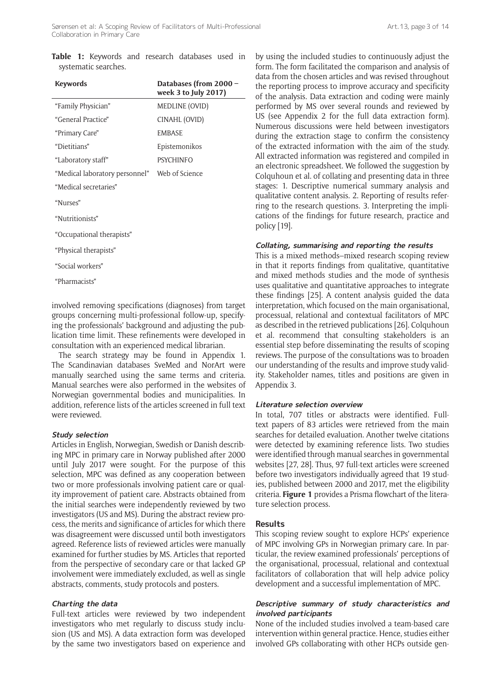**Table 1:** Keywords and research databases used in systematic searches.

| <b>Keywords</b>                | Databases (from 2000 -<br>week 3 to July 2017) |  |  |
|--------------------------------|------------------------------------------------|--|--|
| "Family Physician"             | MEDLINE (OVID)                                 |  |  |
| "General Practice"             | CINAHL (OVID)                                  |  |  |
| "Primary Care"                 | <b>FMBASE</b>                                  |  |  |
| "Dietitians"                   | Epistemonikos                                  |  |  |
| "Laboratory staff"             | <b>PSYCHINEO</b>                               |  |  |
| "Medical laboratory personnel" | Web of Science                                 |  |  |
| "Medical secretaries"          |                                                |  |  |
| "Nurses"                       |                                                |  |  |
| "Nutritionists"                |                                                |  |  |
| "Occupational therapists"      |                                                |  |  |
| "Physical therapists"          |                                                |  |  |
| "Social workers"               |                                                |  |  |
|                                |                                                |  |  |

"Pharmacists"

involved removing specifications (diagnoses) from target groups concerning multi-professional follow-up, specifying the professionals' background and adjusting the publication time limit. These refinements were developed in consultation with an experienced medical librarian.

The search strategy may be found in Appendix 1. The Scandinavian databases SveMed and NorArt were manually searched using the same terms and criteria. Manual searches were also performed in the websites of Norwegian governmental bodies and municipalities. In addition, reference lists of the articles screened in full text were reviewed.

#### **Study selection**

Articles in English, Norwegian, Swedish or Danish describing MPC in primary care in Norway published after 2000 until July 2017 were sought. For the purpose of this selection, MPC was defined as any cooperation between two or more professionals involving patient care or quality improvement of patient care. Abstracts obtained from the initial searches were independently reviewed by two investigators (US and MS). During the abstract review process, the merits and significance of articles for which there was disagreement were discussed until both investigators agreed. Reference lists of reviewed articles were manually examined for further studies by MS. Articles that reported from the perspective of secondary care or that lacked GP involvement were immediately excluded, as well as single abstracts, comments, study protocols and posters.

#### **Charting the data**

Full-text articles were reviewed by two independent investigators who met regularly to discuss study inclusion (US and MS). A data extraction form was developed by the same two investigators based on experience and by using the included studies to continuously adjust the form. The form facilitated the comparison and analysis of data from the chosen articles and was revised throughout the reporting process to improve accuracy and specificity of the analysis. Data extraction and coding were mainly performed by MS over several rounds and reviewed by US (see Appendix 2 for the full data extraction form). Numerous discussions were held between investigators during the extraction stage to confirm the consistency of the extracted information with the aim of the study. All extracted information was registered and compiled in an electronic spreadsheet. We followed the suggestion by Colquhoun et al. of collating and presenting data in three stages: 1. Descriptive numerical summary analysis and qualitative content analysis. 2. Reporting of results referring to the research questions. 3. Interpreting the implications of the findings for future research, practice and policy [19].

#### **Collating, summarising and reporting the results**

This is a mixed methods–mixed research scoping review in that it reports findings from qualitative, quantitative and mixed methods studies and the mode of synthesis uses qualitative and quantitative approaches to integrate these findings [25]. A content analysis guided the data interpretation, which focused on the main organisational, processual, relational and contextual facilitators of MPC as described in the retrieved publications [26]. Colquhoun et al. recommend that consulting stakeholders is an essential step before disseminating the results of scoping reviews. The purpose of the consultations was to broaden our understanding of the results and improve study validity. Stakeholder names, titles and positions are given in Appendix 3.

#### **Literature selection overview**

In total, 707 titles or abstracts were identified. Fulltext papers of 83 articles were retrieved from the main searches for detailed evaluation. Another twelve citations were detected by examining reference lists. Two studies were identified through manual searches in governmental websites [27, 28]. Thus, 97 full-text articles were screened before two investigators individually agreed that 19 studies, published between 2000 and 2017, met the eligibility criteria. **Figure 1** provides a Prisma flowchart of the literature selection process.

## **Results**

This scoping review sought to explore HCPs' experience of MPC involving GPs in Norwegian primary care. In particular, the review examined professionals' perceptions of the organisational, processual, relational and contextual facilitators of collaboration that will help advice policy development and a successful implementation of MPC.

## **Descriptive summary of study characteristics and involved participants**

None of the included studies involved a team-based care intervention within general practice. Hence, studies either involved GPs collaborating with other HCPs outside gen-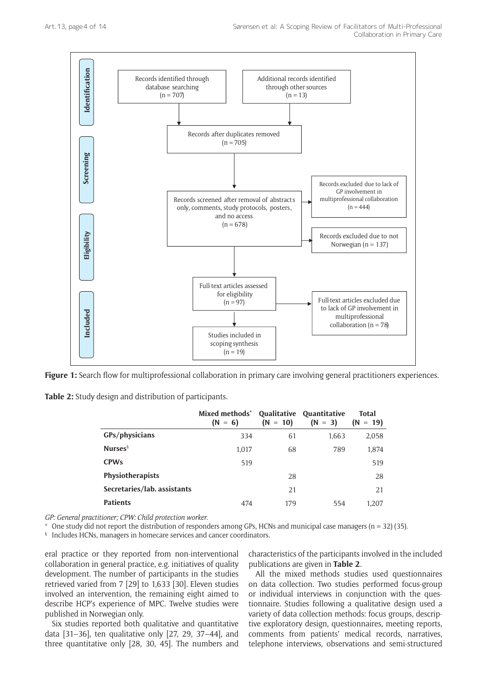

Figure 1: Search flow for multiprofessional collaboration in primary care involving general practitioners experiences.

**Table 2:** Study design and distribution of participants.

|                             | Mixed methods <sup>*</sup><br>$(N = 6)$ | $(N = 10)$ | Qualitative Quantitative<br>$(N = 3)$ | <b>Total</b><br>$(N = 19)$ |
|-----------------------------|-----------------------------------------|------------|---------------------------------------|----------------------------|
| GPs/physicians              | 334                                     | 61         | 1,663                                 | 2,058                      |
| Nurses $\frac{5}{3}$        | 1.017                                   | 68         | 789                                   | 1,874                      |
| <b>CPWs</b>                 | 519                                     |            |                                       | 519                        |
| Physiotherapists            |                                         | 28         |                                       | 28                         |
| Secretaries/lab. assistants |                                         | 21         |                                       | 21                         |
| <b>Patients</b>             | 474                                     | 179        | 554                                   | 1.207                      |

*GP: General practitioner; CPW: Child protection worker.*

One study did not report the distribution of responders among GPs, HCNs and municipal case managers ( $n = 32$ ) (35).

§ Includes HCNs, managers in homecare services and cancer coordinators.

eral practice or they reported from non-interventional collaboration in general practice, e.g. initiatives of quality development. The number of participants in the studies retrieved varied from 7 [29] to 1,633 [30]. Eleven studies involved an intervention, the remaining eight aimed to describe HCP's experience of MPC. Twelve studies were published in Norwegian only.

Six studies reported both qualitative and quantitative data [31–36], ten qualitative only [27, 29, 37–44], and three quantitative only [28, 30, 45]. The numbers and characteristics of the participants involved in the included publications are given in **Table 2**.

All the mixed methods studies used questionnaires on data collection. Two studies performed focus-group or individual interviews in conjunction with the questionnaire. Studies following a qualitative design used a variety of data collection methods: focus groups, descriptive exploratory design, questionnaires, meeting reports, comments from patients' medical records, narratives, telephone interviews, observations and semi-structured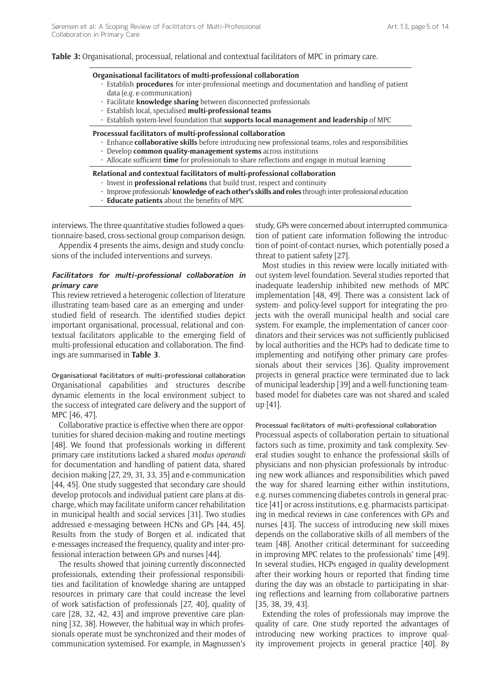#### **Table 3:** Organisational, processual, relational and contextual facilitators of MPC in primary care.

#### **Organisational facilitators of multi-professional collaboration**

- Establish **procedures** for inter-professional meetings and documentation and handling of patient data (e.g. e-communication)
- Facilitate **knowledge sharing** between disconnected professionals
- Establish local, specialised **multi-professional teams**
- Establish system-level foundation that **supports local management and leadership** of MPC

#### **Processual facilitators of multi-professional collaboration**

- Enhance **collaborative skills** before introducing new professional teams, roles and responsibilities
- Develop **common quality-management systems** across institutions
- Allocate sufficient **time** for professionals to share reflections and engage in mutual learning

#### **Relational and contextual facilitators of multi-professional collaboration**

- Invest in **professional relations** that build trust, respect and continuity
- Improve professionals' **knowledge of each other's skills and roles** through inter-professional education
- **Educate patients** about the benefits of MPC

interviews. The three quantitative studies followed a questionnaire-based, cross-sectional group comparison design.

Appendix 4 presents the aims, design and study conclusions of the included interventions and surveys.

#### **Facilitators for multi-professional collaboration in primary care**

This review retrieved a heterogenic collection of literature illustrating team-based care as an emerging and understudied field of research. The identified studies depict important organisational, processual, relational and contextual facilitators applicable to the emerging field of multi-professional education and collaboration. The findings are summarised in **Table 3**.

Organisational facilitators of multi-professional collaboration Organisational capabilities and structures describe dynamic elements in the local environment subject to the success of integrated care delivery and the support of MPC [46, 47].

Collaborative practice is effective when there are opportunities for shared decision-making and routine meetings [48]. We found that professionals working in different primary care institutions lacked a shared *modus operandi* for documentation and handling of patient data, shared decision making [27, 29, 31, 33, 35] and e-communication [44, 45]. One study suggested that secondary care should develop protocols and individual patient care plans at discharge, which may facilitate uniform cancer rehabilitation in municipal health and social services [31]. Two studies addressed e-messaging between HCNs and GPs [44, 45]. Results from the study of Borgen et al. indicated that e-messages increased the frequency, quality and inter-professional interaction between GPs and nurses [44].

The results showed that joining currently disconnected professionals, extending their professional responsibilities and facilitation of knowledge sharing are untapped resources in primary care that could increase the level of work satisfaction of professionals [27, 40], quality of care [28, 32, 42, 43] and improve preventive care planning [32, 38]. However, the habitual way in which professionals operate must be synchronized and their modes of communication systemised. For example, in Magnussen's study, GPs were concerned about interrupted communication of patient care information following the introduction of point-of-contact-nurses, which potentially posed a threat to patient safety [27].

Most studies in this review were locally initiated without system-level foundation. Several studies reported that inadequate leadership inhibited new methods of MPC implementation [48, 49]. There was a consistent lack of system- and policy-level support for integrating the projects with the overall municipal health and social care system. For example, the implementation of cancer coordinators and their services was not sufficiently publicised by local authorities and the HCPs had to dedicate time to implementing and notifying other primary care professionals about their services [36]. Quality improvement projects in general practice were terminated due to lack of municipal leadership [39] and a well-functioning teambased model for diabetes care was not shared and scaled up [41].

#### Processual facilitators of multi-professional collaboration

Processual aspects of collaboration pertain to situational factors such as time, proximity and task complexity. Several studies sought to enhance the professional skills of physicians and non-physician professionals by introducing new work alliances and responsibilities which paved the way for shared learning either within institutions, e.g. nurses commencing diabetes controls in general practice [41] or across institutions, e.g. pharmacists participating in medical reviews in case conferences with GPs and nurses [43]. The success of introducing new skill mixes depends on the collaborative skills of all members of the team [48]. Another critical determinant for succeeding in improving MPC relates to the professionals' time [49]. In several studies, HCPs engaged in quality development after their working hours or reported that finding time during the day was an obstacle to participating in sharing reflections and learning from collaborative partners [35, 38, 39, 43].

Extending the roles of professionals may improve the quality of care. One study reported the advantages of introducing new working practices to improve quality improvement projects in general practice [40]. By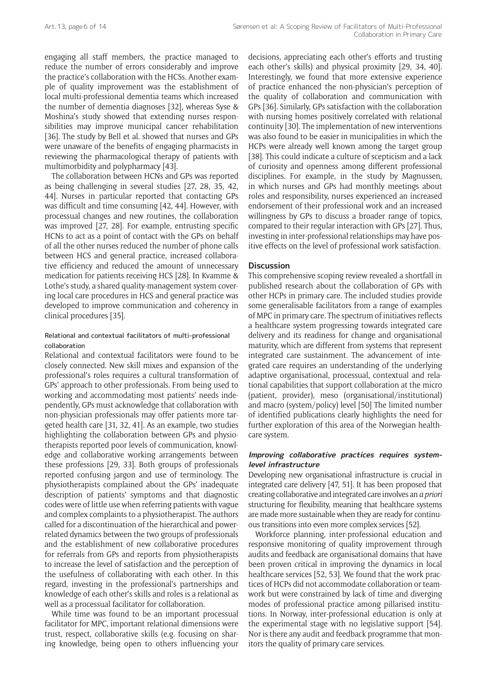engaging all staff members, the practice managed to reduce the number of errors considerably and improve the practice's collaboration with the HCSs. Another example of quality improvement was the establishment of local multi-professional dementia teams which increased the number of dementia diagnoses [32], whereas Syse & Moshina's study showed that extending nurses responsibilities may improve municipal cancer rehabilitation [36]. The study by Bell et al. showed that nurses and GPs were unaware of the benefits of engaging pharmacists in reviewing the pharmacological therapy of patients with multimorbidity and polypharmacy [43].

The collaboration between HCNs and GPs was reported as being challenging in several studies [27, 28, 35, 42, 44]. Nurses in particular reported that contacting GPs was difficult and time consuming [42, 44]. However, with processual changes and new routines, the collaboration was improved [27, 28]. For example, entrusting specific HCNs to act as a point of contact with the GPs on behalf of all the other nurses reduced the number of phone calls between HCS and general practice, increased collaborative efficiency and reduced the amount of unnecessary medication for patients receiving HCS [28]. In Kvamme & Lothe's study, a shared quality-management system covering local care procedures in HCS and general practice was developed to improve communication and coherency in clinical procedures [35].

## Relational and contextual facilitators of multi-professional collaboration

Relational and contextual facilitators were found to be closely connected. New skill mixes and expansion of the professional's roles requires a cultural transformation of GPs' approach to other professionals. From being used to working and accommodating most patients' needs independently, GPs must acknowledge that collaboration with non-physician professionals may offer patients more targeted health care [31, 32, 41]. As an example, two studies highlighting the collaboration between GPs and physiotherapists reported poor levels of communication, knowledge and collaborative working arrangements between these professions [29, 33]. Both groups of professionals reported confusing jargon and use of terminology. The physiotherapists complained about the GPs' inadequate description of patients' symptoms and that diagnostic codes were of little use when referring patients with vague and complex complaints to a physiotherapist. The authors called for a discontinuation of the hierarchical and powerrelated dynamics between the two groups of professionals and the establishment of new collaborative procedures for referrals from GPs and reports from physiotherapists to increase the level of satisfaction and the perception of the usefulness of collaborating with each other. In this regard, investing in the professional's partnerships and knowledge of each other's skills and roles is a relational as well as a processual facilitator for collaboration.

While time was found to be an important processual facilitator for MPC, important relational dimensions were trust, respect, collaborative skills (e.g. focusing on sharing knowledge, being open to others influencing your

decisions, appreciating each other's efforts and trusting each other's skills) and physical proximity [29, 34, 40]. Interestingly, we found that more extensive experience of practice enhanced the non-physician's perception of the quality of collaboration and communication with GPs [36]. Similarly, GPs satisfaction with the collaboration with nursing homes positively correlated with relational continuity [30]. The implementation of new interventions was also found to be easier in municipalities in which the HCPs were already well known among the target group [38]. This could indicate a culture of scepticism and a lack of curiosity and openness among different professional disciplines. For example, in the study by Magnussen, in which nurses and GPs had monthly meetings about roles and responsibility, nurses experienced an increased endorsement of their professional work and an increased willingness by GPs to discuss a broader range of topics, compared to their regular interaction with GPs [27]. Thus, investing in inter-professional relationships may have positive effects on the level of professional work satisfaction.

## **Discussion**

This comprehensive scoping review revealed a shortfall in published research about the collaboration of GPs with other HCPs in primary care. The included studies provide some generalisable facilitators from a range of examples of MPC in primary care. The spectrum of initiatives reflects a healthcare system progressing towards integrated care delivery and its readiness for change and organisational maturity, which are different from systems that represent integrated care sustainment. The advancement of integrated care requires an understanding of the underlying adaptive organisational, processual, contextual and relational capabilities that support collaboration at the micro (patient, provider), meso (organisational/institutional) and macro (system/policy) level [50] The limited number of identified publications clearly highlights the need for further exploration of this area of the Norwegian healthcare system.

#### **Improving collaborative practices requires systemlevel infrastructure**

Developing new organisational infrastructure is crucial in integrated care delivery [47, 51]. It has been proposed that creating collaborative and integrated care involves an *a priori* structuring for flexibility, meaning that healthcare systems are made more sustainable when they are ready for continuous transitions into even more complex services [52].

Workforce planning, inter-professional education and responsive monitoring of quality improvement through audits and feedback are organisational domains that have been proven critical in improving the dynamics in local healthcare services [52, 53]. We found that the work practices of HCPs did not accommodate collaboration or teamwork but were constrained by lack of time and diverging modes of professional practice among pillarised institutions. In Norway, inter-professional education is only at the experimental stage with no legislative support [54]. Nor is there any audit and feedback programme that monitors the quality of primary care services.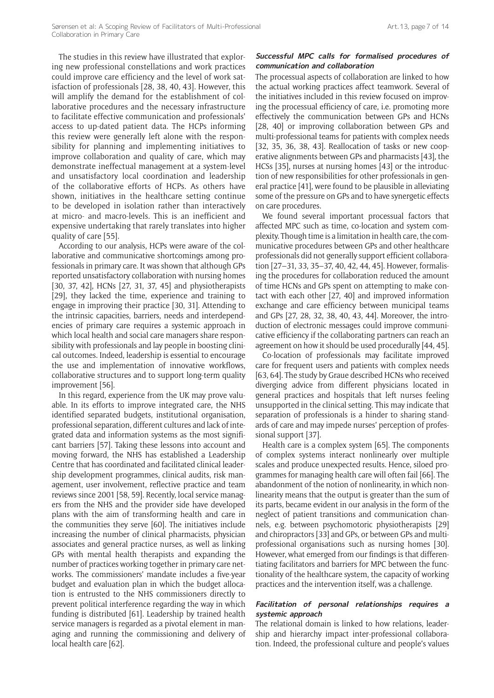The studies in this review have illustrated that exploring new professional constellations and work practices could improve care efficiency and the level of work satisfaction of professionals [28, 38, 40, 43]. However, this will amplify the demand for the establishment of collaborative procedures and the necessary infrastructure to facilitate effective communication and professionals' access to up-dated patient data. The HCPs informing this review were generally left alone with the responsibility for planning and implementing initiatives to improve collaboration and quality of care, which may demonstrate ineffectual management at a system-level and unsatisfactory local coordination and leadership of the collaborative efforts of HCPs. As others have shown, initiatives in the healthcare setting continue to be developed in isolation rather than interactively at micro- and macro-levels. This is an inefficient and expensive undertaking that rarely translates into higher quality of care [55].

According to our analysis, HCPs were aware of the collaborative and communicative shortcomings among professionals in primary care. It was shown that although GPs reported unsatisfactory collaboration with nursing homes [30, 37, 42], HCNs [27, 31, 37, 45] and physiotherapists [29], they lacked the time, experience and training to engage in improving their practice [30, 31]. Attending to the intrinsic capacities, barriers, needs and interdependencies of primary care requires a systemic approach in which local health and social care managers share responsibility with professionals and lay people in boosting clinical outcomes. Indeed, leadership is essential to encourage the use and implementation of innovative workflows, collaborative structures and to support long-term quality improvement [56].

In this regard, experience from the UK may prove valuable. In its efforts to improve integrated care, the NHS identified separated budgets, institutional organisation, professional separation, different cultures and lack of integrated data and information systems as the most significant barriers [57]. Taking these lessons into account and moving forward, the NHS has established a Leadership Centre that has coordinated and facilitated clinical leadership development programmes, clinical audits, risk management, user involvement, reflective practice and team reviews since 2001 [58, 59]. Recently, local service managers from the NHS and the provider side have developed plans with the aim of transforming health and care in the communities they serve [60]. The initiatives include increasing the number of clinical pharmacists, physician associates and general practice nurses, as well as linking GPs with mental health therapists and expanding the number of practices working together in primary care networks. The commissioners' mandate includes a five-year budget and evaluation plan in which the budget allocation is entrusted to the NHS commissioners directly to prevent political interference regarding the way in which funding is distributed [61]. Leadership by trained health service managers is regarded as a pivotal element in managing and running the commissioning and delivery of local health care [62].

## **Successful MPC calls for formalised procedures of communication and collaboration**

The processual aspects of collaboration are linked to how the actual working practices affect teamwork. Several of the initiatives included in this review focused on improving the processual efficiency of care, i.e. promoting more effectively the communication between GPs and HCNs [28, 40] or improving collaboration between GPs and multi-professional teams for patients with complex needs [32, 35, 36, 38, 43]. Reallocation of tasks or new cooperative alignments between GPs and pharmacists [43], the HCSs [35], nurses at nursing homes [43] or the introduction of new responsibilities for other professionals in general practice [41], were found to be plausible in alleviating some of the pressure on GPs and to have synergetic effects on care procedures.

We found several important processual factors that affected MPC such as time, co-location and system complexity. Though time is a limitation in health care, the communicative procedures between GPs and other healthcare professionals did not generally support efficient collaboration [27–31, 33, 35–37, 40, 42, 44, 45]. However, formalising the procedures for collaboration reduced the amount of time HCNs and GPs spent on attempting to make contact with each other [27, 40] and improved information exchange and care efficiency between municipal teams and GPs [27, 28, 32, 38, 40, 43, 44]. Moreover, the introduction of electronic messages could improve communicative efficiency if the collaborating partners can reach an agreement on how it should be used procedurally [44, 45].

Co-location of professionals may facilitate improved care for frequent users and patients with complex needs [63, 64]. The study by Graue described HCNs who received diverging advice from different physicians located in general practices and hospitals that left nurses feeling unsupported in the clinical setting. This may indicate that separation of professionals is a hinder to sharing standards of care and may impede nurses' perception of professional support [37].

Health care is a complex system [65]. The components of complex systems interact nonlinearly over multiple scales and produce unexpected results. Hence, siloed programmes for managing health care will often fail [66]. The abandonment of the notion of nonlinearity, in which nonlinearity means that the output is greater than the sum of its parts, became evident in our analysis in the form of the neglect of patient transitions and communication channels, e.g. between psychomotoric physiotherapists [29] and chiropractors [33] and GPs, or between GPs and multiprofessional organisations such as nursing homes [30]. However, what emerged from our findings is that differentiating facilitators and barriers for MPC between the functionality of the healthcare system, the capacity of working practices and the intervention itself, was a challenge.

#### **Facilitation of personal relationships requires a systemic approach**

The relational domain is linked to how relations, leadership and hierarchy impact inter-professional collaboration. Indeed, the professional culture and people's values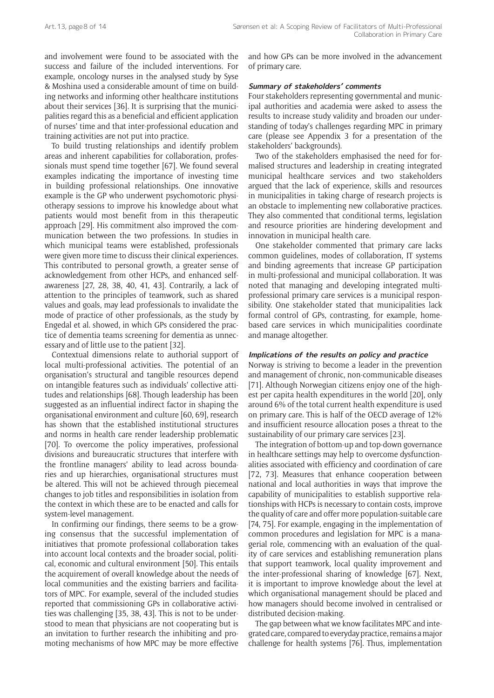and involvement were found to be associated with the success and failure of the included interventions. For example, oncology nurses in the analysed study by Syse & Moshina used a considerable amount of time on building networks and informing other healthcare institutions about their services [36]. It is surprising that the municipalities regard this as a beneficial and efficient application of nurses' time and that inter-professional education and training activities are not put into practice.

To build trusting relationships and identify problem areas and inherent capabilities for collaboration, professionals must spend time together [67]. We found several examples indicating the importance of investing time in building professional relationships. One innovative example is the GP who underwent psychomotoric physiotherapy sessions to improve his knowledge about what patients would most benefit from in this therapeutic approach [29]. His commitment also improved the communication between the two professions. In studies in which municipal teams were established, professionals were given more time to discuss their clinical experiences. This contributed to personal growth, a greater sense of acknowledgement from other HCPs, and enhanced selfawareness [27, 28, 38, 40, 41, 43]. Contrarily, a lack of attention to the principles of teamwork, such as shared values and goals, may lead professionals to invalidate the mode of practice of other professionals, as the study by Engedal et al. showed, in which GPs considered the practice of dementia teams screening for dementia as unnecessary and of little use to the patient [32].

Contextual dimensions relate to authorial support of local multi-professional activities. The potential of an organisation's structural and tangible resources depend on intangible features such as individuals' collective attitudes and relationships [68]. Though leadership has been suggested as an influential indirect factor in shaping the organisational environment and culture [60, 69], research has shown that the established institutional structures and norms in health care render leadership problematic [70]. To overcome the policy imperatives, professional divisions and bureaucratic structures that interfere with the frontline managers' ability to lead across boundaries and up hierarchies, organisational structures must be altered. This will not be achieved through piecemeal changes to job titles and responsibilities in isolation from the context in which these are to be enacted and calls for system-level management.

In confirming our findings, there seems to be a growing consensus that the successful implementation of initiatives that promote professional collaboration takes into account local contexts and the broader social, political, economic and cultural environment [50]. This entails the acquirement of overall knowledge about the needs of local communities and the existing barriers and facilitators of MPC. For example, several of the included studies reported that commissioning GPs in collaborative activities was challenging [35, 38, 43]. This is not to be understood to mean that physicians are not cooperating but is an invitation to further research the inhibiting and promoting mechanisms of how MPC may be more effective and how GPs can be more involved in the advancement of primary care.

## **Summary of stakeholders' comments**

Four stakeholders representing governmental and municipal authorities and academia were asked to assess the results to increase study validity and broaden our understanding of today's challenges regarding MPC in primary care (please see Appendix 3 for a presentation of the stakeholders' backgrounds).

Two of the stakeholders emphasised the need for formalised structures and leadership in creating integrated municipal healthcare services and two stakeholders argued that the lack of experience, skills and resources in municipalities in taking charge of research projects is an obstacle to implementing new collaborative practices. They also commented that conditional terms, legislation and resource priorities are hindering development and innovation in municipal health care.

One stakeholder commented that primary care lacks common guidelines, modes of collaboration, IT systems and binding agreements that increase GP participation in multi-professional and municipal collaboration. It was noted that managing and developing integrated multiprofessional primary care services is a municipal responsibility. One stakeholder stated that municipalities lack formal control of GPs, contrasting, for example, homebased care services in which municipalities coordinate and manage altogether.

## **Implications of the results on policy and practice**

Norway is striving to become a leader in the prevention and management of chronic, non-communicable diseases [71]. Although Norwegian citizens enjoy one of the highest per capita health expenditures in the world [20], only around 6% of the total current health expenditure is used on primary care. This is half of the OECD average of 12% and insufficient resource allocation poses a threat to the sustainability of our primary care services [23].

The integration of bottom-up and top-down governance in healthcare settings may help to overcome dysfunctionalities associated with efficiency and coordination of care [72, 73]. Measures that enhance cooperation between national and local authorities in ways that improve the capability of municipalities to establish supportive relationships with HCPs is necessary to contain costs, improve the quality of care and offer more population-suitable care [74, 75]. For example, engaging in the implementation of common procedures and legislation for MPC is a managerial role, commencing with an evaluation of the quality of care services and establishing remuneration plans that support teamwork, local quality improvement and the inter-professional sharing of knowledge [67]. Next, it is important to improve knowledge about the level at which organisational management should be placed and how managers should become involved in centralised or distributed decision-making.

The gap between what we know facilitates MPC and integrated care, compared to everyday practice, remains a major challenge for health systems [76]. Thus, implementation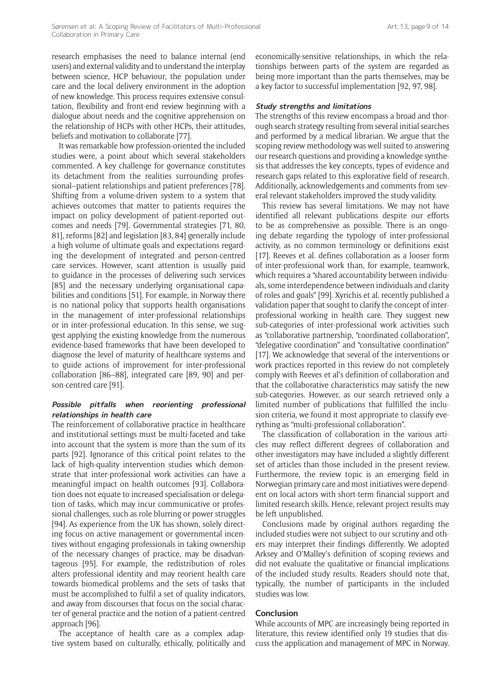research emphasises the need to balance internal (end users) and external validity and to understand the interplay between science, HCP behaviour, the population under care and the local delivery environment in the adoption of new knowledge. This process requires extensive consultation, flexibility and front-end review beginning with a dialogue about needs and the cognitive apprehension on the relationship of HCPs with other HCPs, their attitudes, beliefs and motivation to collaborate [77].

It was remarkable how profession-oriented the included studies were, a point about which several stakeholders commented. A key challenge for governance constitutes its detachment from the realities surrounding professional–patient relationships and patient preferences [78]. Shifting from a volume-driven system to a system that achieves outcomes that matter to patients requires the impact on policy development of patient-reported outcomes and needs [79]. Governmental strategies [71, 80, 81], reforms [82] and legislation [83, 84] generally include a high volume of ultimate goals and expectations regarding the development of integrated and person-centred care services. However, scant attention is usually paid to guidance in the processes of delivering such services [85] and the necessary underlying organisational capabilities and conditions [51]. For example, in Norway there is no national policy that supports health organisations in the management of inter-professional relationships or in inter-professional education. In this sense, we suggest applying the existing knowledge from the numerous evidence-based frameworks that have been developed to diagnose the level of maturity of healthcare systems and to guide actions of improvement for inter-professional collaboration [86–88], integrated care [89, 90] and person-centred care [91].

## **Possible pitfalls when reorienting professional relationships in health care**

The reinforcement of collaborative practice in healthcare and institutional settings must be multi-faceted and take into account that the system is more than the sum of its parts [92]. Ignorance of this critical point relates to the lack of high-quality intervention studies which demonstrate that inter-professional work activities can have a meaningful impact on health outcomes [93]. Collaboration does not equate to increased specialisation or delegation of tasks, which may incur communicative or professional challenges, such as role blurring or power struggles [94]. As experience from the UK has shown, solely directing focus on active management or governmental incentives without engaging professionals in taking ownership of the necessary changes of practice, may be disadvantageous [95]. For example, the redistribution of roles alters professional identity and may reorient health care towards biomedical problems and the sets of tasks that must be accomplished to fulfil a set of quality indicators, and away from discourses that focus on the social character of general practice and the notion of a patient-centred approach [96].

The acceptance of health care as a complex adaptive system based on culturally, ethically, politically and economically-sensitive relationships, in which the relationships between parts of the system are regarded as being more important than the parts themselves, may be a key factor to successful implementation [92, 97, 98].

#### **Study strengths and limitations**

The strengths of this review encompass a broad and thorough search strategy resulting from several initial searches and performed by a medical librarian. We argue that the scoping review methodology was well suited to answering our research questions and providing a knowledge synthesis that addresses the key concepts, types of evidence and research gaps related to this explorative field of research. Additionally, acknowledgements and comments from several relevant stakeholders improved the study validity.

This review has several limitations. We may not have identified all relevant publications despite our efforts to be as comprehensive as possible. There is an ongoing debate regarding the typology of inter-professional activity, as no common terminology or definitions exist [17]. Reeves et al. defines collaboration as a looser form of inter-professional work than, for example, teamwork, which requires a "shared accountability between individuals, some interdependence between individuals and clarity of roles and goals" [99]. Xyrichis et al. recently published a validation paper that sought to clarify the concept of interprofessional working in health care. They suggest new sub-categories of inter-professional work activities such as "collaborative partnership, "coordinated collaboration", "delegative coordination" and "consultative coordination" [17]. We acknowledge that several of the interventions or work practices reported in this review do not completely comply with Reeves et al's definition of collaboration and that the collaborative characteristics may satisfy the new sub-categories. However, as our search retrieved only a limited number of publications that fulfilled the inclusion criteria, we found it most appropriate to classify everything as "multi-professional collaboration".

The classification of collaboration in the various articles may reflect different degrees of collaboration and other investigators may have included a slightly different set of articles than those included in the present review. Furthermore, the review topic is an emerging field in Norwegian primary care and most initiatives were dependent on local actors with short-term financial support and limited research skills. Hence, relevant project results may be left unpublished.

Conclusions made by original authors regarding the included studies were not subject to our scrutiny and others may interpret their findings differently. We adopted Arksey and O'Malley's definition of scoping reviews and did not evaluate the qualitative or financial implications of the included study results. Readers should note that, typically, the number of participants in the included studies was low.

#### **Conclusion**

While accounts of MPC are increasingly being reported in literature, this review identified only 19 studies that discuss the application and management of MPC in Norway.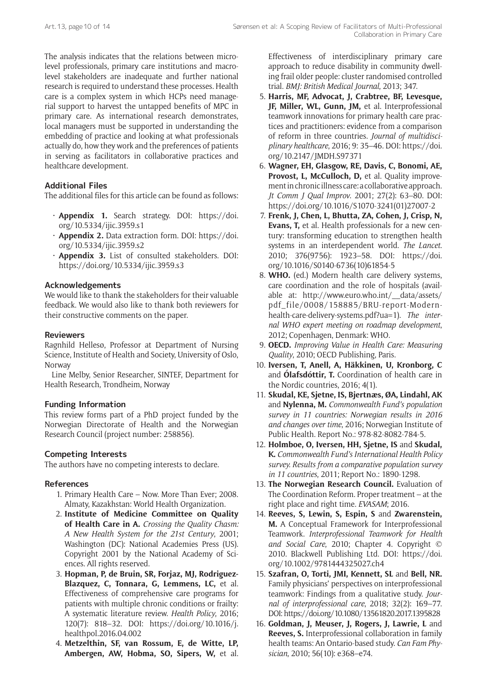The analysis indicates that the relations between microlevel professionals, primary care institutions and macrolevel stakeholders are inadequate and further national research is required to understand these processes. Health care is a complex system in which HCPs need managerial support to harvest the untapped benefits of MPC in primary care. As international research demonstrates, local managers must be supported in understanding the embedding of practice and looking at what professionals actually do, how they work and the preferences of patients in serving as facilitators in collaborative practices and healthcare development.

## **Additional Files**

The additional files for this article can be found as follows:

- **Appendix 1.** Search strategy. DOI: [https://doi.](https://doi.org/10.5334/ijic.3959.s1) [org/10.5334/ijic.3959.s1](https://doi.org/10.5334/ijic.3959.s1)
- **Appendix 2.** Data extraction form. DOI: [https://doi.](https://doi.org/10.5334/ijic.3959.s2) [org/10.5334/ijic.3959.s2](https://doi.org/10.5334/ijic.3959.s2)
- **Appendix 3.** List of consulted stakeholders. DOI: <https://doi.org/10.5334/ijic.3959.s3>

## **Acknowledgements**

We would like to thank the stakeholders for their valuable feedback. We would also like to thank both reviewers for their constructive comments on the paper.

## **Reviewers**

Ragnhild Hellesø, Professor at Department of Nursing Science, Institute of Health and Society, University of Oslo, Norway

Line Melby, Senior Researcher, SINTEF, Department for Health Research, Trondheim, Norway

## **Funding Information**

This review forms part of a PhD project funded by the Norwegian Directorate of Health and the Norwegian Research Council (project number: 258856).

## **Competing Interests**

The authors have no competing interests to declare.

## **References**

- 1. Primary Health Care Now. More Than Ever; 2008. Almaty, Kazakhstan: World Health Organization.
- 2. **Institute of Medicine Committee on Quality of Health Care in A.** *Crossing the Quality Chasm: A New Health System for the 21st Century*, 2001; Washington (DC): National Academies Press (US). Copyright 2001 by the National Academy of Sciences. All rights reserved.
- 3. **Hopman, P, de Bruin, SR, Forjaz, MJ, Rodriguez-Blazquez, C, Tonnara, G, Lemmens, LC,** et al. Effectiveness of comprehensive care programs for patients with multiple chronic conditions or frailty: A systematic literature review. *Health Policy*, 2016; 120(7): 818–32. DOI: [https://doi.org/10.1016/j.](https://doi.org/10.1016/j.healthpol.2016.04.002) [healthpol.2016.04.002](https://doi.org/10.1016/j.healthpol.2016.04.002)
- 4. **Metzelthin, SF, van Rossum, E, de Witte, LP, Ambergen, AW, Hobma, SO, Sipers, W,** et al.

Effectiveness of interdisciplinary primary care approach to reduce disability in community dwelling frail older people: cluster randomised controlled trial. *BMJ: British Medical Journal*, 2013; 347.

- 5. **Harris, MF, Advocat, J, Crabtree, BF, Levesque, JF, Miller, WL, Gunn, JM,** et al. Interprofessional teamwork innovations for primary health care practices and practitioners: evidence from a comparison of reform in three countries. *Journal of multidisciplinary healthcare*, 2016; 9: 35–46. DOI: [https://doi.](https://doi.org/10.2147/JMDH.S97371) [org/10.2147/JMDH.S97371](https://doi.org/10.2147/JMDH.S97371)
- 6. **Wagner, EH, Glasgow, RE, Davis, C, Bonomi, AE,**  Provost, L, McCulloch, D, et al. Quality improvement in chronic illness care: a collaborative approach. *Jt Comm J Qual Improv*. 2001; 27(2): 63–80. DOI: [https://doi.org/10.1016/S1070-3241\(01\)27007-2](https://doi.org/10.1016/S1070-3241(01)27007-2)
- 7. **Frenk, J, Chen, L, Bhutta, ZA, Cohen, J, Crisp, N, Evans, T,** et al. Health professionals for a new century: transforming education to strengthen health systems in an interdependent world. *The Lancet*. 2010; 376(9756): 1923–58. DOI: [https://doi.](https://doi.org/10.1016/S0140-6736(10)61854-5) [org/10.1016/S0140-6736\(10\)61854-5](https://doi.org/10.1016/S0140-6736(10)61854-5)
- 8. **WHO.** (ed.) Modern health care delivery systems, care coordination and the role of hospitals (available at: [http://www.euro.who.int/\\_\\_data/assets/](http://www.euro.who.int/__data/assets/pdf_file/0008/158885/BRU-report-Modern-health-care-delivery-systems.pdf?ua=1) [pdf\\_file/0008/158885/BRU-report-Modern](http://www.euro.who.int/__data/assets/pdf_file/0008/158885/BRU-report-Modern-health-care-delivery-systems.pdf?ua=1)[health-care-delivery-systems.pdf?ua=1\)](http://www.euro.who.int/__data/assets/pdf_file/0008/158885/BRU-report-Modern-health-care-delivery-systems.pdf?ua=1). *The internal WHO expert meeting on roadmap development*, 2012; Copenhagen, Denmark: WHO.
- 9. **OECD.** *Improving Value in Health Care: Measuring Quality*, 2010; OECD Publishing, Paris.
- 10. **Iversen, T, Anell, A, Häkkinen, U, Kronborg, C** and **Ólafsdóttir, T.** Coordination of health care in the Nordic countries, 2016; 4(1).
- 11. **Skudal, KE, Sjetne, IS, Bjertnæs, ØA, Lindahl, AK** and **Nylenna, M.** *Commonwealth Fund's population survey in 11 countries: Norwegian results in 2016 and changes over time*, 2016; Norwegian Institute of Public Health. Report No.: 978-82-8082-784-5.
- 12. **Holmboe, O, Iversen, HH, Sjetne, IS** and **Skudal, K.** *Commonwealth Fund's International Health Policy survey. Results from a comparative population survey in 11 countries*, 2011; Report No.: 1890-1298.
- 13. **The Norwegian Research Council.** Evaluation of The Coordination Reform. Proper treatment – at the right place and right time. *EVASAM*; 2016.
- 14. **Reeves, S, Lewin, S, Espin, S** and **Zwarenstein, M.** A Conceptual Framework for Interprofessional Teamwork. *Interprofessional Teamwork for Health and Social Care*, 2010; Chapter 4. Copyright © 2010. Blackwell Publishing Ltd. DOI: [https://doi.](https://doi.org/10.1002/9781444325027.ch4) [org/10.1002/9781444325027.ch4](https://doi.org/10.1002/9781444325027.ch4)
- 15. **Szafran, O, Torti, JMI, Kennett, SL** and **Bell, NR.** Family physicians' perspectives on interprofessional teamwork: Findings from a qualitative study. *Journal of interprofessional care*, 2018; 32(2): 169–77. DOI:<https://doi.org/10.1080/13561820.2017.1395828>
- 16. **Goldman, J, Meuser, J, Rogers, J, Lawrie, L** and **Reeves, S.** Interprofessional collaboration in family health teams: An Ontario-based study. *Can Fam Physician*, 2010; 56(10): e368–e74.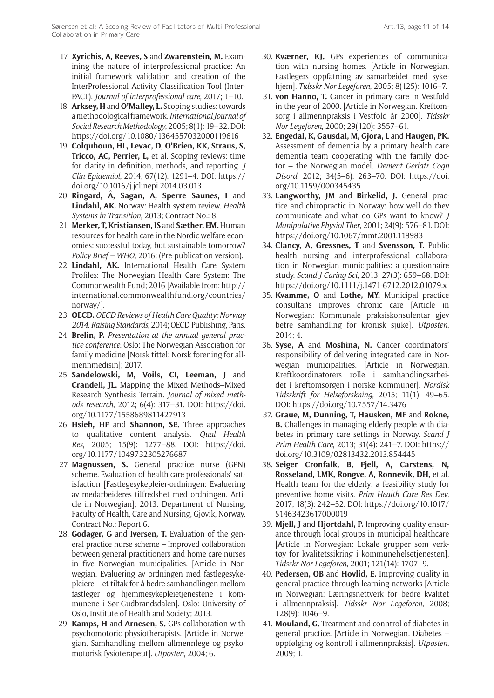- 17. **Xyrichis, A, Reeves, S** and **Zwarenstein, M.** Examining the nature of interprofessional practice: An initial framework validation and creation of the InterProfessional Activity Classification Tool (Inter-PACT). *Journal of interprofessional care*, 2017; 1–10.
- 18. **Arksey, H** and **O'Malley, L.** Scoping studies: towards a methodological framework. *International Journal of Social Research Methodology*, 2005; 8(1): 19–32. DOI: <https://doi.org/10.1080/1364557032000119616>
- 19. **Colquhoun, HL, Levac, D, O'Brien, KK, Straus, S, Tricco, AC, Perrier, L,** et al. Scoping reviews: time for clarity in definition, methods, and reporting. *J Clin Epidemiol*, 2014; 67(12): 1291–4. DOI: [https://](https://doi.org/10.1016/j.jclinepi.2014.03.013) [doi.org/10.1016/j.jclinepi.2014.03.013](https://doi.org/10.1016/j.jclinepi.2014.03.013)
- 20. **Ringard, Å, Sagan, A, Sperre Saunes, I** and **Lindahl, AK.** Norway: Health system review. *Health Systems in Transition*, 2013; Contract No.: 8.
- 21. **Merker, T, Kristiansen, IS** and **Sæther, EM.** Human resources for health care in the Nordic welfare economies: successful today, but sustainable tomorrow? *Policy Brief – WHO*, 2016; (Pre-publication version).
- 22. **Lindahl, AK.** International Health Care System Profiles: The Norwegian Health Care System: The Commonwealth Fund; 2016 [Available from: [http://](http://international.commonwealthfund.org/countries/norway/) [international.commonwealthfund.org/countries/](http://international.commonwealthfund.org/countries/norway/) [norway/](http://international.commonwealthfund.org/countries/norway/)].
- 23. **OECD.** *OECD Reviews of Health Care Quality: Norway 2014. Raising Standards*, 2014; OECD Publishing, Paris.
- 24. **Brelin, P.** *Presentation at the annual general practice conference.* Oslo: The Norwegian Association for family medicine [Norsk tittel: Norsk forening for allmennmedisin]; 2017.
- 25. **Sandelowski, M, Voils, CI, Leeman, J** and **Crandell, JL.** Mapping the Mixed Methods–Mixed Research Synthesis Terrain. *Journal of mixed methods research*, 2012; 6(4): 317–31. DOI: [https://doi.](https://doi.org/10.1177/1558689811427913) [org/10.1177/1558689811427913](https://doi.org/10.1177/1558689811427913)
- 26. **Hsieh, HF** and **Shannon, SE.** Three approaches to qualitative content analysis. *Qual Health Res*, 2005; 15(9): 1277–88. DOI: [https://doi.](https://doi.org/10.1177/1049732305276687) [org/10.1177/1049732305276687](https://doi.org/10.1177/1049732305276687)
- 27. **Magnussen, S.** General practice nurse (GPN) scheme. Evaluation of health care professionals' satisfaction [Fastlegesykepleier-ordningen: Evaluering av medarbeideres tilfredshet med ordningen. Article in Norwegian]; 2013. Department of Nursing, Faculty of Health, Care and Nursing, Gjøvik, Norway. Contract No.: Report 6.
- 28. **Godager, G** and **Iversen, T.** Evaluation of the general practice nurse scheme – Improved collaboration between general practitioners and home care nurses in five Norwegian municipalities. [Article in Norwegian. Evaluering av ordningen med fastlegesykepleiere – et tiltak for å bedre samhandlingen mellom fastleger og hjemmesykepleietjenestene i kommunene i Sør-Gudbrandsdalen]. Oslo: University of Oslo, Institute of Health and Society; 2013.
- 29. **Kamps, H** and **Arnesen, S.** GPs collaboration with psychomotoric physiotherapists. [Article in Norwegian. Samhandling mellom allmennlege og psykomotorisk fysioterapeut]. *Utposten*, 2004; 6.
- 30. **Kværner, KJ.** GPs experiences of communication with nursing homes. [Article in Norwegian. Fastlegers oppfatning av samarbeidet med sykehjem]. *Tidsskr Nor Legeforen*, 2005; 8(125): 1016–7.
- 31. **von Hanno, T.** Cancer in primary care in Vestfold in the year of 2000. [Article in Norwegian. Kreftomsorg i allmennpraksis i Vestfold år 2000]. *Tidsskr Nor Legeforen*, 2000; 29(120): 3557–61.
- 32. **Engedal, K, Gausdal, M, Gjora, L** and **Haugen, PK.** Assessment of dementia by a primary health care dementia team cooperating with the family doctor – the Norwegian model. *Dement Geriatr Cogn Disord*, 2012; 34(5–6): 263–70. DOI: [https://doi.](https://doi.org/10.1159/000345435) [org/10.1159/000345435](https://doi.org/10.1159/000345435)
- 33. **Langworthy, JM** and **Birkelid, J.** General practice and chiropractic in Norway: how well do they communicate and what do GPs want to know? *J Manipulative Physiol Ther*, 2001; 24(9): 576–81. DOI: <https://doi.org/10.1067/mmt.2001.118983>
- 34. **Clancy, A, Gressnes, T** and **Svensson, T.** Public health nursing and interprofessional collaboration in Norwegian municipalities: a questionnaire study. *Scand J Caring Sci*, 2013; 27(3): 659–68. DOI: <https://doi.org/10.1111/j.1471-6712.2012.01079.x>
- 35. **Kvamme, O** and **Lothe, MY.** Municipal practice consultans improves chronic care [Article in Norwegian: Kommunale praksiskonsulentar gjev betre samhandling for kronisk sjuke]. *Utposten*, 2014; 4.
- 36. **Syse, A** and **Moshina, N.** Cancer coordinators' responsibility of delivering integrated care in Norwegian municipalities. [Article in Norwegian. Kreftkoordinatorers rolle i samhandlingsarbeidet i kreftomsorgen i norske kommuner]. *Nordisk Tidsskrift for Helseforskning*, 2015; 11(1): 49–65. DOI: <https://doi.org/10.7557/14.3476>
- 37. **Graue, M, Dunning, T, Hausken, MF** and **Rokne, B.** Challenges in managing elderly people with diabetes in primary care settings in Norway. *Scand J Prim Health Care*, 2013; 31(4): 241–7. DOI: [https://](https://doi.org/10.3109/02813432.2013.854445) [doi.org/10.3109/02813432.2013.854445](https://doi.org/10.3109/02813432.2013.854445)
- 38. **Seiger Cronfalk, B, Fjell, A, Carstens, N, Rosseland, LMK, Rongve, A, Ronnevik, DH,** et al. Health team for the elderly: a feasibility study for preventive home visits. *Prim Health Care Res Dev*, 2017; 18(3): 242–52. DOI: [https://doi.org/10.1017/](https://doi.org/10.1017/S1463423617000019) [S1463423617000019](https://doi.org/10.1017/S1463423617000019)
- 39. **Mjell, J** and **Hjortdahl, P.** Improving quality ensurance through local groups in municipal healthcare [Article in Norwegian: Lokale grupper som verktøy for kvalitetssikring i kommunehelsetjenesten]. *Tidsskr Nor Legeforen*, 2001; 121(14): 1707–9.
- 40. **Pedersen, OB** and **Hovlid, E.** Improving quality in general practice through learning networks [Article in Norwegian: Læringsnettverk for bedre kvalitet i allmennpraksis]. *Tidsskr Nor Legeforen*, 2008; 128(9): 1046–9.
- 41. **Mouland, G.** Treatment and conntrol of diabetes in general practice. [Article in Norwegian. Diabetes – oppfølging og kontroll i allmennpraksis]. *Utposten*, 2009; 1.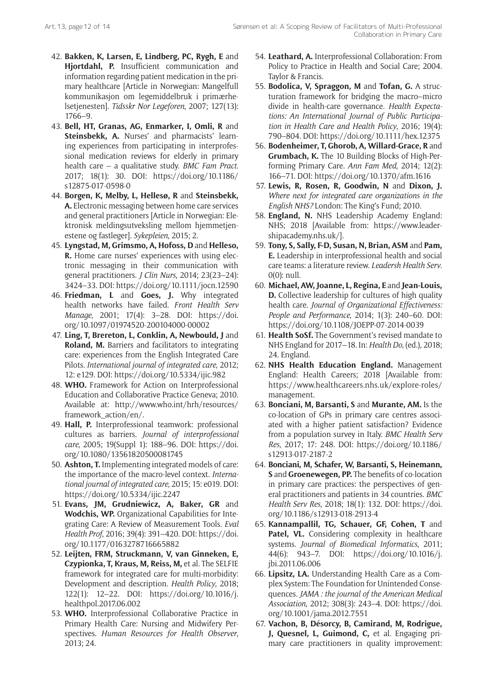- 42. **Bakken, K, Larsen, E, Lindberg, PC, Rygh, E** and **Hjortdahl, P.** Insufficient communication and information regarding patient medication in the primary healthcare [Article in Norwegian: Mangelfull kommunikasjon om legemiddelbruk i primærhelsetjenesten]. *Tidsskr Nor Legeforen*, 2007; 127(13): 1766–9.
- 43. **Bell, HT, Granas, AG, Enmarker, I, Omli, R** and **Steinsbekk, A.** Nurses' and pharmacists' learning experiences from participating in interprofessional medication reviews for elderly in primary health care – a qualitative study. *BMC Fam Pract*. 2017; 18(1): 30. DOI: [https://doi.org/10.1186/](https://doi.org/10.1186/s12875-017-0598-0) [s12875-017-0598-0](https://doi.org/10.1186/s12875-017-0598-0)
- 44. **Borgen, K, Melby, L, Hellesø, R** and **Steinsbekk, A.** Electronic messaging between home care services and general practitioners [Article in Norwegian: Elektronisk meldingsutveksling mellom hjemmetjenestene og fastleger]. *Sykepleien*, 2015; 2.
- 45. **Lyngstad, M, Grimsmo, A, Hofoss, D** and **Helleso, R.** Home care nurses' experiences with using electronic messaging in their communication with general practitioners. *J Clin Nurs*, 2014; 23(23–24): 3424–33. DOI:<https://doi.org/10.1111/jocn.12590>
- 46. **Friedman, L** and **Goes, J.** Why integrated health networks have failed. *Front Health Serv Manage*, 2001; 17(4): 3–28. DOI: [https://doi.](https://doi.org/10.1097/01974520-200104000-00002) [org/10.1097/01974520-200104000-00002](https://doi.org/10.1097/01974520-200104000-00002)
- 47. **Ling, T, Brereton, L, Conklin, A, Newbould, J** and **Roland, M.** Barriers and facilitators to integrating care: experiences from the English Integrated Care Pilots. *International journal of integrated care*, 2012; 12: e129. DOI: <https://doi.org/10.5334/ijic.982>
- 48. **WHO.** Framework for Action on Interprofessional Education and Collaborative Practice Geneva; 2010. Available at: [http://www.who.int/hrh/resources/](http://www.who.int/hrh/resources/framework_action/en/) [framework\\_action/en/.](http://www.who.int/hrh/resources/framework_action/en/)
- 49. **Hall, P.** Interprofessional teamwork: professional cultures as barriers. *Journal of interprofessional care*, 2005; 19(Suppl 1): 188–96. DOI: [https://doi.](https://doi.org/10.1080/13561820500081745) [org/10.1080/13561820500081745](https://doi.org/10.1080/13561820500081745)
- 50. **Ashton, T.** Implementing integrated models of care: the importance of the macro-level context. *International journal of integrated care*, 2015; 15: e019. DOI: <https://doi.org/10.5334/ijic.2247>
- 51. **Evans, JM, Grudniewicz, A, Baker, GR** and **Wodchis, WP.** Organizational Capabilities for Integrating Care: A Review of Measurement Tools. *Eval Health Prof*, 2016; 39(4): 391–420. DOI: [https://doi.](https://doi.org/10.1177/0163278716665882) [org/10.1177/0163278716665882](https://doi.org/10.1177/0163278716665882)
- 52. **Leijten, FRM, Struckmann, V, van Ginneken, E, Czypionka, T, Kraus, M, Reiss, M,** et al. The SELFIE framework for integrated care for multi-morbidity: Development and description. *Health Policy*, 2018; 122(1): 12–22. DOI: [https://doi.org/10.1016/j.](https://doi.org/10.1016/j.healthpol.2017.06.002) [healthpol.2017.06.002](https://doi.org/10.1016/j.healthpol.2017.06.002)
- 53. **WHO.** Interprofessional Collaborative Practice in Primary Health Care: Nursing and Midwifery Perspectives. *Human Resources for Health Observer*, 2013; 24.
- 54. **Leathard, A.** Interprofessional Collaboration: From Policy to Practice in Health and Social Care; 2004. Taylor & Francis.
- 55. **Bodolica, V, Spraggon, M** and **Tofan, G.** A structuration framework for bridging the macro–micro divide in health-care governance. *Health Expectations: An International Journal of Public Participation in Health Care and Health Policy*, 2016; 19(4): 790–804. DOI: <https://doi.org/10.1111/hex.12375>
- 56. **Bodenheimer, T, Ghorob, A, Willard-Grace, R** and **Grumbach, K.** The 10 Building Blocks of High-Performing Primary Care. *Ann Fam Med*, 2014; 12(2): 166–71. DOI:<https://doi.org/10.1370/afm.1616>
- 57. **Lewis, R, Rosen, R, Goodwin, N** and **Dixon, J.** *Where next for integrated care organizations in the English NHS?* London: The King's Fund; 2010.
- 58. **England, N.** NHS Leadership Academy England: NHS; 2018 [Available from: [https://www.leader](https://www.leadershipacademy.nhs.uk/)[shipacademy.nhs.uk/\]](https://www.leadershipacademy.nhs.uk/).
- 59. **Tony, S, Sally, F-D, Susan, N, Brian, ASM** and **Pam, E.** Leadership in interprofessional health and social care teams: a literature review. *Leadersh Health Serv*. 0(0): null.
- 60. **Michael, AW, Joanne, L, Regina, E** and **Jean-Louis, D.** Collective leadership for cultures of high quality health care. *Journal of Organizational Effectiveness: People and Performance*, 2014; 1(3): 240–60. DOI: <https://doi.org/10.1108/JOEPP-07-2014-0039>
- 61. **Health SoSf.** The Government's revised mandate to NHS England for 2017–18. In: *Health Do*, (ed.), 2018; 24. England.
- 62. **NHS Health Education England.** Management England: Health Careers; 2018 [Available from: [https://www.healthcareers.nhs.uk/explore-roles/](https://www.healthcareers.nhs.uk/explore-roles/management) [management](https://www.healthcareers.nhs.uk/explore-roles/management).
- 63. **Bonciani, M, Barsanti, S** and **Murante, AM.** Is the co-location of GPs in primary care centres associated with a higher patient satisfaction? Evidence from a population survey in Italy. *BMC Health Serv Res*, 2017; 17: 248. DOI: [https://doi.org/10.1186/](https://doi.org/10.1186/s12913-017-2187-2) [s12913-017-2187-2](https://doi.org/10.1186/s12913-017-2187-2)
- 64. **Bonciani, M, Schafer, W, Barsanti, S, Heinemann, S** and **Groenewegen, PP.** The benefits of co-location in primary care practices: the perspectives of general practitioners and patients in 34 countries. *BMC Health Serv Res*, 2018; 18(1): 132. DOI: [https://doi.](https://doi.org/10.1186/s12913-018-2913-4) [org/10.1186/s12913-018-2913-4](https://doi.org/10.1186/s12913-018-2913-4)
- 65. **Kannampallil, TG, Schauer, GF, Cohen, T** and **Patel, VL.** Considering complexity in healthcare systems. *Journal of Biomedical Informatics*, 2011; 44(6): 943–7. DOI: [https://doi.org/10.1016/j.](https://doi.org/10.1016/j.jbi.2011.06.006) [jbi.2011.06.006](https://doi.org/10.1016/j.jbi.2011.06.006)
- 66. **Lipsitz, LA.** Understanding Health Care as a Complex System: The Foundation for Unintended Consequences. *JAMA : the journal of the American Medical Association*, 2012; 308(3): 243–4. DOI: [https://doi.](https://doi.org/10.1001/jama.2012.7551) [org/10.1001/jama.2012.7551](https://doi.org/10.1001/jama.2012.7551)
- 67. **Vachon, B, Désorcy, B, Camirand, M, Rodrigue, J, Quesnel, L, Guimond, C,** et al. Engaging primary care practitioners in quality improvement: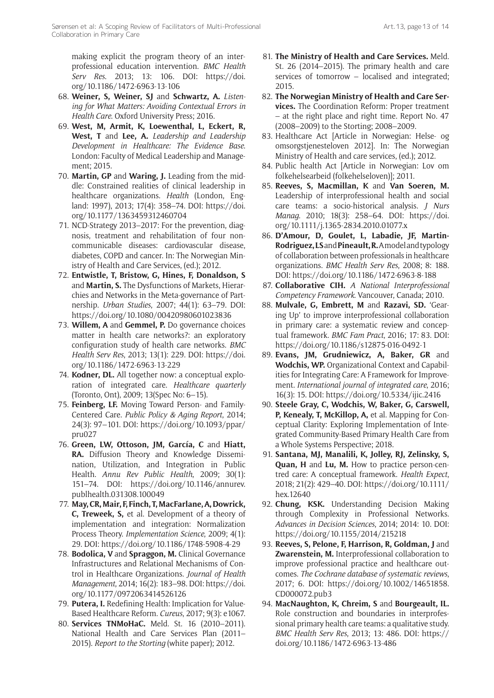making explicit the program theory of an interprofessional education intervention. *BMC Health Serv Res*. 2013; 13: 106. DOI: [https://doi.](https://doi.org/10.1186/1472-6963-13-106) [org/10.1186/1472-6963-13-106](https://doi.org/10.1186/1472-6963-13-106)

- 68. **Weiner, S, Weiner, SJ** and **Schwartz, A.** *Listening for What Matters: Avoiding Contextual Errors in Health Care*. Oxford University Press; 2016.
- 69. **West, M, Armit, K, Loewenthal, L, Eckert, R, West, T** and **Lee, A.** *Leadership and Leadership Development in Healthcare: The Evidence Base*. London: Faculty of Medical Leadership and Management; 2015.
- 70. **Martin, GP** and **Waring, J.** Leading from the middle: Constrained realities of clinical leadership in healthcare organizations. *Health* (London, England: 1997), 2013; 17(4): 358–74. DOI: [https://doi.](https://doi.org/10.1177/1363459312460704) [org/10.1177/1363459312460704](https://doi.org/10.1177/1363459312460704)
- 71. NCD-Strategy 2013–2017: For the prevention, diagnosis, treatment and rehabilitation of four noncommunicable diseases: cardiovascular disease, diabetes, COPD and cancer. In: The Norwegian Ministry of Health and Care Services, (ed.); 2012.
- 72. **Entwistle, T, Bristow, G, Hines, F, Donaldson, S** and **Martin, S.** The Dysfunctions of Markets, Hierarchies and Networks in the Meta-governance of Partnership. *Urban Studies*, 2007; 44(1): 63–79. DOI: <https://doi.org/10.1080/00420980601023836>
- 73. **Willem, A** and **Gemmel, P.** Do governance choices matter in health care networks?: an exploratory configuration study of health care networks. *BMC Health Serv Res*, 2013; 13(1): 229. DOI: [https://doi.](https://doi.org/10.1186/1472-6963-13-229) [org/10.1186/1472-6963-13-229](https://doi.org/10.1186/1472-6963-13-229)
- 74. **Kodner, DL.** All together now: a conceptual exploration of integrated care. *Healthcare quarterly* (Toronto, Ont), 2009; 13(Spec No: 6–15).
- 75. **Feinberg, LF.** Moving Toward Person- and Family-Centered Care. *Public Policy & Aging Report*, 2014; 24(3): 97–101. DOI: [https://doi.org/10.1093/ppar/](https://doi.org/10.1093/ppar/pru027) [pru027](https://doi.org/10.1093/ppar/pru027)
- 76. **Green, LW, Ottoson, JM, García, C** and **Hiatt, RA.** Diffusion Theory and Knowledge Dissemination, Utilization, and Integration in Public Health. *Annu Rev Public Health*, 2009; 30(1): 151–74. DOI: [https://doi.org/10.1146/annurev.](https://doi.org/10.1146/annurev.publhealth.031308.100049) [publhealth.031308.100049](https://doi.org/10.1146/annurev.publhealth.031308.100049)
- 77. **May, CR, Mair, F, Finch, T, MacFarlane, A, Dowrick, C, Treweek, S,** et al. Development of a theory of implementation and integration: Normalization Process Theory. *Implementation Science*, 2009; 4(1): 29. DOI:<https://doi.org/10.1186/1748-5908-4-29>
- 78. **Bodolica, V** and **Spraggon, M.** Clinical Governance Infrastructures and Relational Mechanisms of Control in Healthcare Organizations. *Journal of Health Management*, 2014; 16(2): 183–98. DOI: [https://doi.](https://doi.org/10.1177/0972063414526126) [org/10.1177/0972063414526126](https://doi.org/10.1177/0972063414526126)
- 79. **Putera, I.** Redefining Health: Implication for Value-Based Healthcare Reform. *Cureus*, 2017; 9(3): e1067.
- 80. **Services TNMoHaC.** Meld. St. 16 (2010–2011). National Health and Care Services Plan (2011– 2015). *Report to the Storting* (white paper); 2012.
- 81. **The Ministry of Health and Care Services.** Meld. St. 26 (2014–2015). The primary health and care services of tomorrow – localised and integrated; 2015.
- 82. **The Norwegian Ministry of Health and Care Services.** The Coordination Reform: Proper treatment – at the right place and right time. Report No. 47 (2008–2009) to the Storting; 2008–2009.
- 83. Healthcare Act [Article in Norwegian: Helse- og omsorgstjenesteloven 2012]. In: The Norwegian Ministry of Health and care services, (ed.); 2012.
- 84. Public health Act [Article in Norwegian: Lov om folkehelsearbeid (folkehelseloven)]; 2011.
- 85. **Reeves, S, Macmillan, K** and **Van Soeren, M.** Leadership of interprofessional health and social care teams: a socio-historical analysis. *J Nurs Manag*. 2010; 18(3): 258–64. DOI: [https://doi.](https://doi.org/10.1111/j.1365-2834.2010.01077.x) [org/10.1111/j.1365-2834.2010.01077.x](https://doi.org/10.1111/j.1365-2834.2010.01077.x)
- 86. **D'Amour, D, Goulet, L, Labadie, JF, Martin-Rodriguez, LS** and **Pineault, R.** A model and typology of collaboration between professionals in healthcare organizations. *BMC Health Serv Res*, 2008; 8: 188. DOI: <https://doi.org/10.1186/1472-6963-8-188>
- 87. **Collaborative CIH.** *A National Interprofessional Competency Framework*. Vancouver, Canada; 2010.
- 88. **Mulvale, G, Embrett, M** and **Razavi, SD.** 'Gearing Up' to improve interprofessional collaboration in primary care: a systematic review and conceptual framework. *BMC Fam Pract*, 2016; 17: 83. DOI: <https://doi.org/10.1186/s12875-016-0492-1>
- 89. **Evans, JM, Grudniewicz, A, Baker, GR** and **Wodchis, WP.** Organizational Context and Capabilities for Integrating Care: A Framework for Improvement. *International journal of integrated care*, 2016; 16(3): 15. DOI: <https://doi.org/10.5334/ijic.2416>
- 90. **Steele Gray, C, Wodchis, W, Baker, G, Carswell, P, Kenealy, T, McKillop, A,** et al. Mapping for Conceptual Clarity: Exploring Implementation of Integrated Community-Based Primary Health Care from a Whole Systems Perspective; 2018.
- 91. **Santana, MJ, Manalili, K, Jolley, RJ, Zelinsky, S, Quan, H** and **Lu, M.** How to practice person-centred care: A conceptual framework. *Health Expect*, 2018; 21(2): 429–40. DOI: [https://doi.org/10.1111/](https://doi.org/10.1111/hex.12640) [hex.12640](https://doi.org/10.1111/hex.12640)
- 92. **Chung, KSK.** Understanding Decision Making through Complexity in Professional Networks. *Advances in Decision Sciences*, 2014; 2014: 10. DOI: <https://doi.org/10.1155/2014/215218>
- 93. **Reeves, S, Pelone, F, Harrison, R, Goldman, J** and **Zwarenstein, M.** Interprofessional collaboration to improve professional practice and healthcare outcomes. *The Cochrane database of systematic reviews*, 2017; 6. DOI: [https://doi.org/10.1002/14651858.](https://doi.org/10.1002/14651858.CD000072.pub3) [CD000072.pub3](https://doi.org/10.1002/14651858.CD000072.pub3)
- 94. **MacNaughton, K, Chreim, S** and **Bourgeault, IL.** Role construction and boundaries in interprofessional primary health care teams: a qualitative study. *BMC Health Serv Res*, 2013; 13: 486. DOI: [https://](https://doi.org/10.1186/1472-6963-13-486) [doi.org/10.1186/1472-6963-13-486](https://doi.org/10.1186/1472-6963-13-486)